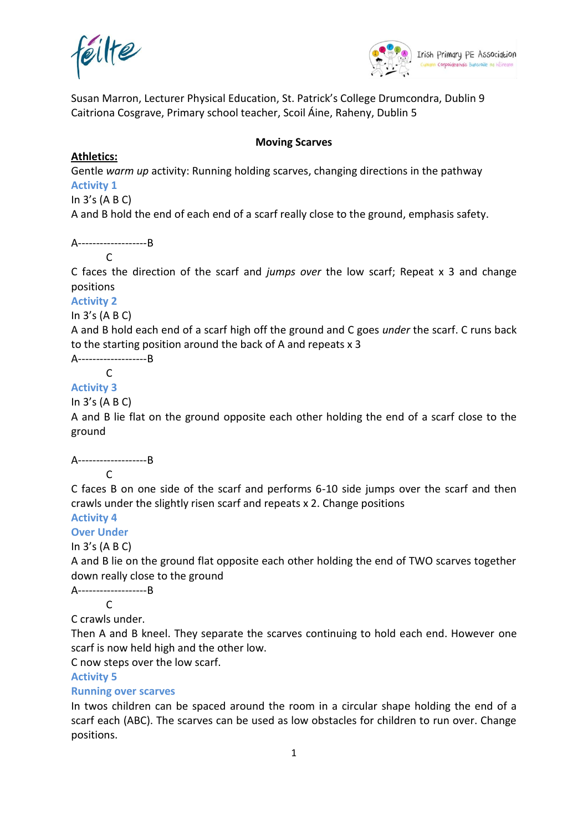



Susan Marron, Lecturer Physical Education, St. Patrick's College Drumcondra, Dublin 9 Caitriona Cosgrave, Primary school teacher, Scoil Áine, Raheny, Dublin 5

#### **Moving Scarves**

### **Athletics:**

Gentle *warm up* activity: Running holding scarves, changing directions in the pathway **Activity 1**

In 3's (A B C)

A and B hold the end of each end of a scarf really close to the ground, emphasis safety.

A-------------------B

 $\Gamma$ 

C faces the direction of the scarf and *jumps over* the low scarf; Repeat x 3 and change positions

#### **Activity 2**

In 3's (A B C)

A and B hold each end of a scarf high off the ground and C goes *under* the scarf. C runs back to the starting position around the back of A and repeats x 3

A-------------------B

C

## **Activity 3**

In 3's (A B C)

A and B lie flat on the ground opposite each other holding the end of a scarf close to the ground

#### A-------------------B

 $\mathsf{C}$ 

C faces B on one side of the scarf and performs 6-10 side jumps over the scarf and then crawls under the slightly risen scarf and repeats x 2. Change positions

# **Activity 4**

**Over Under**

In 3's (A B C)

A and B lie on the ground flat opposite each other holding the end of TWO scarves together down really close to the ground

A-------------------B

 $\mathsf{C}$ 

C crawls under.

Then A and B kneel. They separate the scarves continuing to hold each end. However one scarf is now held high and the other low.

C now steps over the low scarf.

#### **Activity 5**

#### **Running over scarves**

In twos children can be spaced around the room in a circular shape holding the end of a scarf each (ABC). The scarves can be used as low obstacles for children to run over. Change positions.